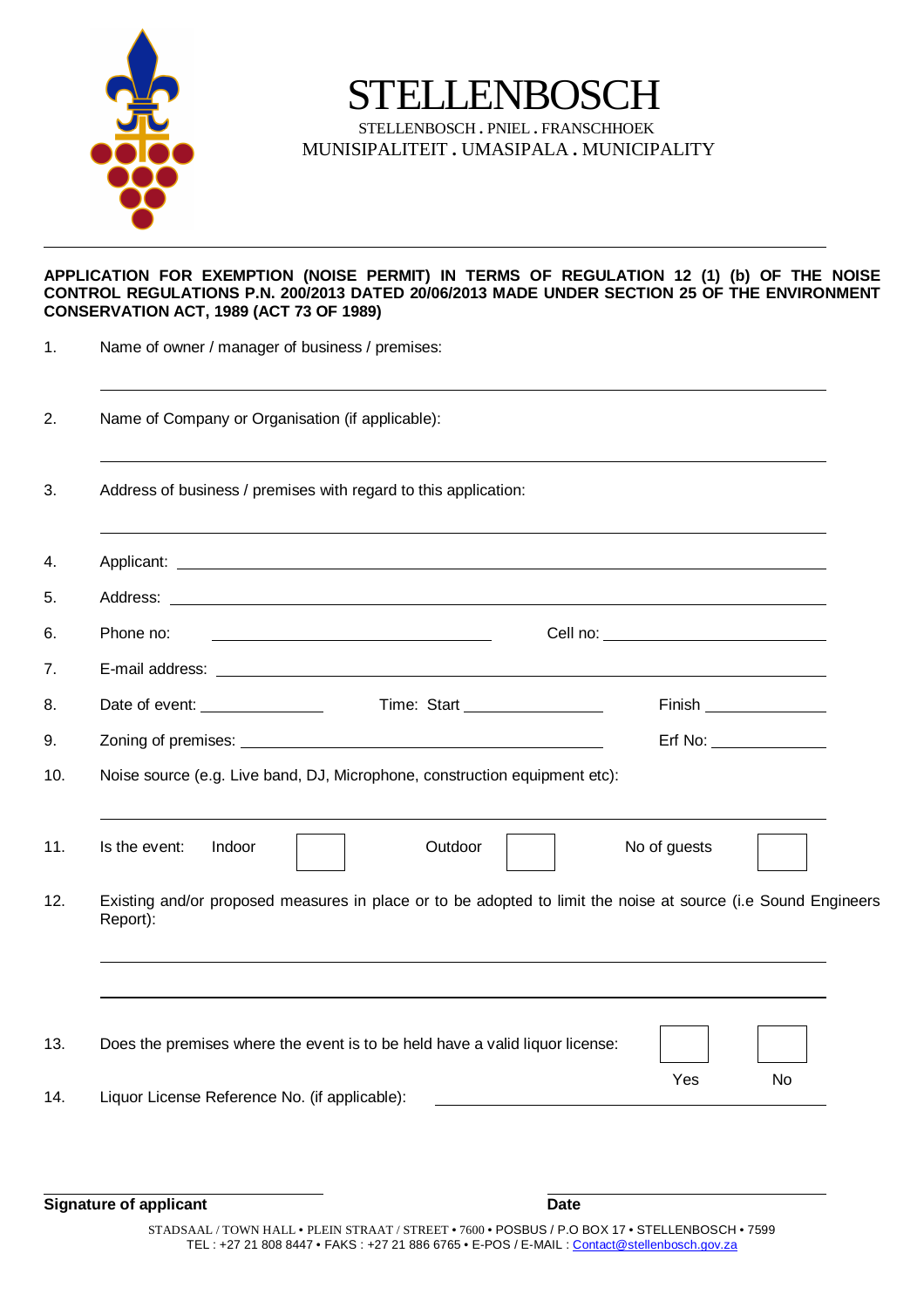

STELLENBOSCH

STELLENBOSCH **.** PNIEL **.** FRANSCHHOEK MUNISIPALITEIT **.** UMASIPALA **.** MUNICIPALITY

## **APPLICATION FOR EXEMPTION (NOISE PERMIT) IN TERMS OF REGULATION 12 (1) (b) OF THE NOISE CONTROL REGULATIONS P.N. 200/2013 DATED 20/06/2013 MADE UNDER SECTION 25 OF THE ENVIRONMENT CONSERVATION ACT, 1989 (ACT 73 OF 1989)**

| Name of owner / manager of business / premises:  |                                                                              |                                                                                                               |  |  |  |
|--------------------------------------------------|------------------------------------------------------------------------------|---------------------------------------------------------------------------------------------------------------|--|--|--|
| Name of Company or Organisation (if applicable): |                                                                              |                                                                                                               |  |  |  |
|                                                  | Address of business / premises with regard to this application:              |                                                                                                               |  |  |  |
|                                                  |                                                                              |                                                                                                               |  |  |  |
|                                                  |                                                                              |                                                                                                               |  |  |  |
| Phone no:                                        |                                                                              |                                                                                                               |  |  |  |
|                                                  |                                                                              |                                                                                                               |  |  |  |
| Date of event: _________________                 | Time: Start __________________                                               | Finish ________________                                                                                       |  |  |  |
|                                                  |                                                                              | $Erf$ No: $\_\_\_\_\_\_\_\_\_\_\_\_\_\_\_\_\_\_\_\_\_\_$                                                      |  |  |  |
|                                                  | Noise source (e.g. Live band, DJ, Microphone, construction equipment etc):   |                                                                                                               |  |  |  |
| Is the event:<br>Indoor                          | Outdoor                                                                      | No of guests                                                                                                  |  |  |  |
| Report):                                         |                                                                              | Existing and/or proposed measures in place or to be adopted to limit the noise at source (i.e Sound Engineers |  |  |  |
|                                                  |                                                                              |                                                                                                               |  |  |  |
|                                                  | Does the premises where the event is to be held have a valid liquor license: | Yes<br>No                                                                                                     |  |  |  |
| Liquor License Reference No. (if applicable):    |                                                                              |                                                                                                               |  |  |  |

**Signature of applicant Date**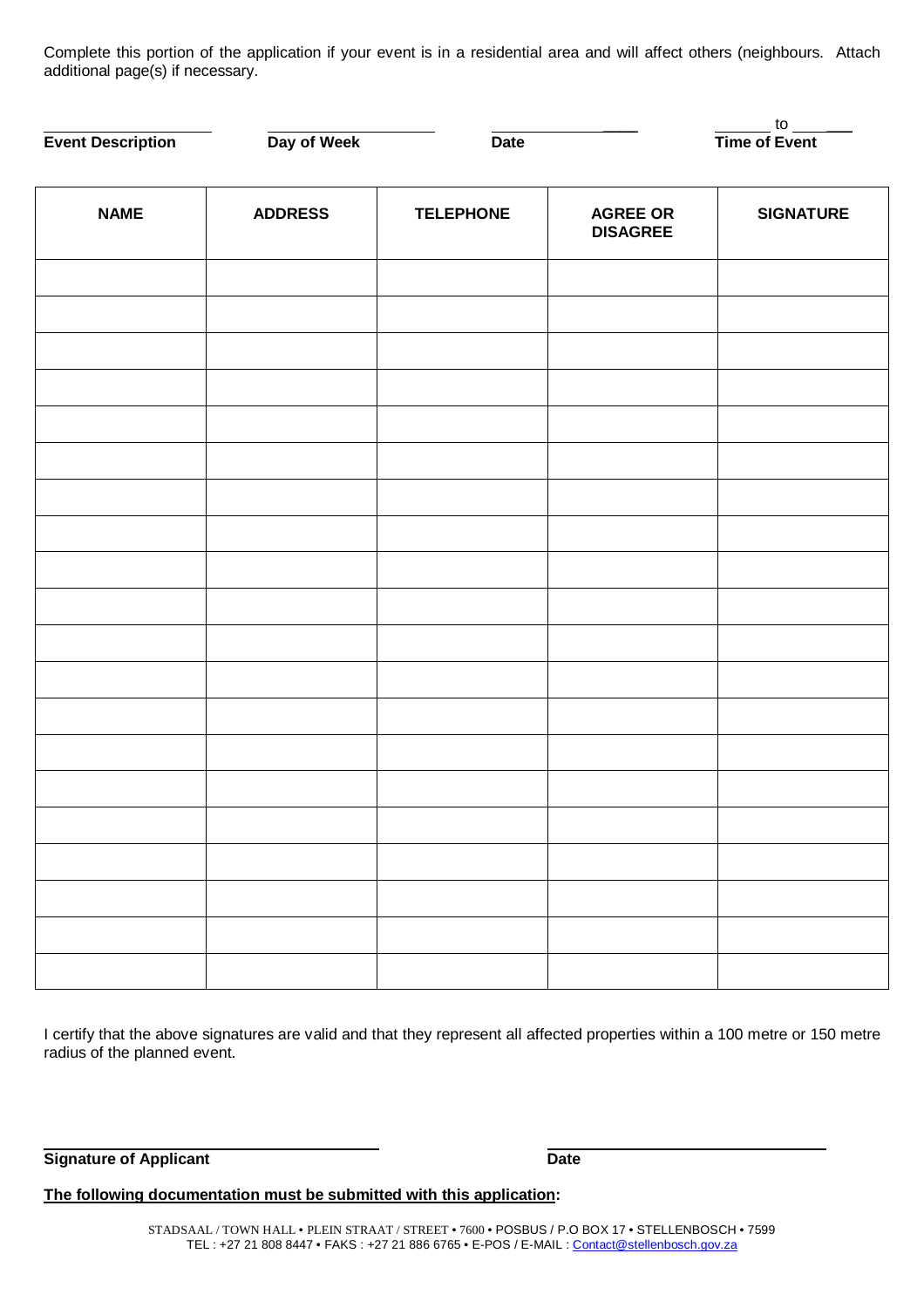Complete this portion of the application if your event is in a residential area and will affect others (neighbours. Attach additional page(s) if necessary.

| <b>Event Description</b> | Day of Week    | <b>Date</b>      |                                    | $\frac{10}{\text{Time of Event}}$ |
|--------------------------|----------------|------------------|------------------------------------|-----------------------------------|
| <b>NAME</b>              | <b>ADDRESS</b> | <b>TELEPHONE</b> | <b>AGREE OR</b><br><b>DISAGREE</b> | <b>SIGNATURE</b>                  |
|                          |                |                  |                                    |                                   |
|                          |                |                  |                                    |                                   |
|                          |                |                  |                                    |                                   |
|                          |                |                  |                                    |                                   |
|                          |                |                  |                                    |                                   |
|                          |                |                  |                                    |                                   |
|                          |                |                  |                                    |                                   |
|                          |                |                  |                                    |                                   |
|                          |                |                  |                                    |                                   |
|                          |                |                  |                                    |                                   |
|                          |                |                  |                                    |                                   |
|                          |                |                  |                                    |                                   |
|                          |                |                  |                                    |                                   |

I certify that the above signatures are valid and that they represent all affected properties within a 100 metre or 150 metre radius of the planned event.

**Signature of Applicant Date** 

**The following documentation must be submitted with this application:**